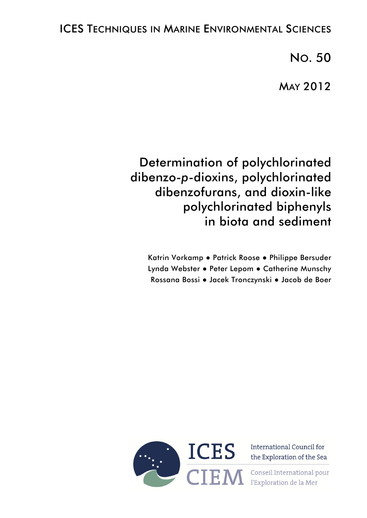# ICES TECHNIQUES IN MARINE ENVIRONMENTAL SCIENCES

NO. 50

MAY 2012

# Determination of polychlorinated dibenzo-*p*-dioxins, polychlorinated dibenzofurans, and dioxin-like polychlorinated biphenyls in biota and sediment

Katrin Vorkamp ● Patrick Roose ● Philippe Bersuder Lynda Webster ● Peter Lepom ● Catherine Munschy Rossana Bossi ● Jacek Tronczynski ● Jacob de Boer



International Council for ICES International Council for

> Conseil International pour l'Exploration de la Mer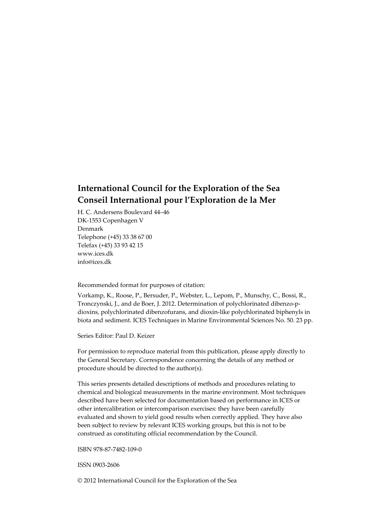# **International Council for the Exploration of the Sea Conseil International pour l'Exploration de la Mer**

H. C. Andersens Boulevard 44–46 DK‐1553 Copenhagen V Denmark Telephone (+45) 33 38 67 00 Telefax (+45) 33 93 42 15 www.ices.dk info@ices.dk

Recommended format for purposes of citation:

Vorkamp, K., Roose, P., Bersuder, P., Webster, L., Lepom, P., Munschy, C., Bossi, R., Tronczynski, J., and de Boer, J. 2012. Determination of polychlorinated dibenzo‐p‐ dioxins, polychlorinated dibenzofurans, and dioxin‐like polychlorinated biphenyls in biota and sediment. ICES Techniques in Marine Environmental Sciences No. 50. 23 pp.

Series Editor: Paul D. Keizer

For permission to reproduce material from this publication, please apply directly to the General Secretary. Correspondence concerning the details of any method or procedure should be directed to the author(s).

This series presents detailed descriptions of methods and procedures relating to chemical and biological measurements in the marine environment. Most techniques described have been selected for documentation based on performance in ICES or other intercalibration or intercomparison exercises: they have been carefully evaluated and shown to yield good results when correctly applied. They have also been subject to review by relevant ICES working groups, but this is not to be construed as constituting official recommendation by the Council.

ISBN 978‐87‐7482‐109‐0

ISSN 0903‐2606

© 2012 International Council for the Exploration of the Sea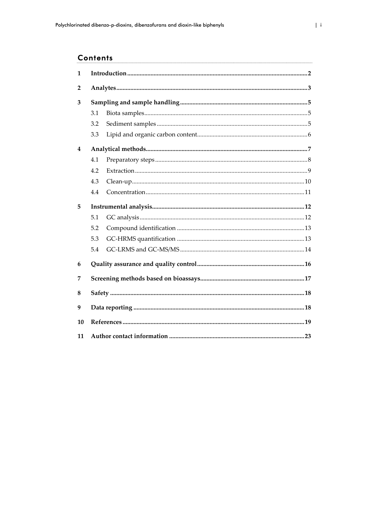## **Contents**

| 1  |     |  |  |
|----|-----|--|--|
| 2  |     |  |  |
| 3  |     |  |  |
|    | 3.1 |  |  |
|    | 3.2 |  |  |
|    | 3.3 |  |  |
| 4  |     |  |  |
|    | 4.1 |  |  |
|    | 4.2 |  |  |
|    | 4.3 |  |  |
|    | 4.4 |  |  |
| 5  |     |  |  |
|    | 5.1 |  |  |
|    | 5.2 |  |  |
|    | 5.3 |  |  |
|    | 5.4 |  |  |
| 6  |     |  |  |
| 7  |     |  |  |
| 8  |     |  |  |
| 9  |     |  |  |
| 10 |     |  |  |
| 11 |     |  |  |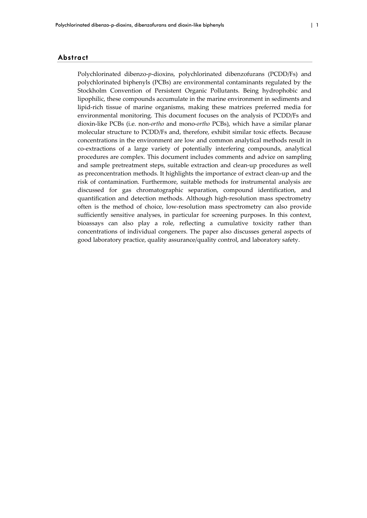#### Abstract

Polychlorinated dibenzo-*p*-dioxins, polychlorinated dibenzofurans (PCDD/Fs) and polychlorinated biphenyls (PCBs) are environmental contaminants regulated by the Stockholm Convention of Persistent Organic Pollutants. Being hydrophobic and lipophilic, these compounds accumulate in the marine environment in sediments and lipid-rich tissue of marine organisms, making these matrices preferred media for environmental monitoring. This document focuses on the analysis of PCDD/Fs and dioxin‐like PCBs (i.e. non‐*ortho* and mono‐*ortho* PCBs), which have a similar planar molecular structure to PCDD/Fs and, therefore, exhibit similar toxic effects. Because concentrations in the environment are low and common analytical methods result in co‐extractions of a large variety of potentially interfering compounds, analytical procedures are complex. This document includes comments and advice on sampling and sample pretreatment steps, suitable extraction and clean‐up procedures as well as preconcentration methods. It highlights the importance of extract clean‐up and the risk of contamination. Furthermore, suitable methods for instrumental analysis are discussed for gas chromatographic separation, compound identification, and quantification and detection methods. Although high‐resolution mass spectrometry often is the method of choice, low‐resolution mass spectrometry can also provide sufficiently sensitive analyses, in particular for screening purposes. In this context, bioassays can also play a role, reflecting a cumulative toxicity rather than concentrations of individual congeners. The paper also discusses general aspects of good laboratory practice, quality assurance/quality control, and laboratory safety.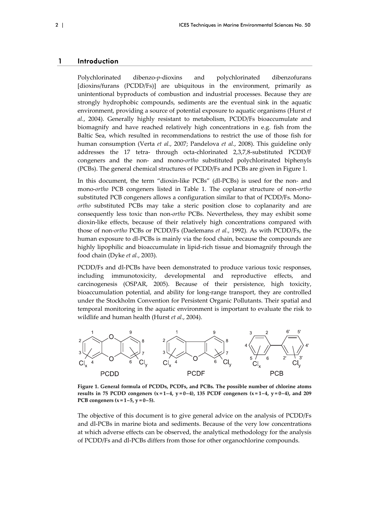### 1 Introduction

Polychlorinated dibenzo‐*p*‐dioxins and polychlorinated dibenzofurans [dioxins/furans (PCDD/Fs)] are ubiquitous in the environment, primarily as unintentional byproducts of combustion and industrial processes. Because they are strongly hydrophobic compounds, sediments are the eventual sink in the aquatic environment, providing a source of potential exposure to aquatic organisms (Hurst *et al.*, 2004). Generally highly resistant to metabolism, PCDD/Fs bioaccumulate and biomagnify and have reached relatively high concentrations in e.g. fish from the Baltic Sea, which resulted in recommendations to restrict the use of those fish for human consumption (Verta *et al.*, 2007; Pandelova *et al.*, 2008). This guideline only addresses the 17 tetra‐ through octa‐chlorinated 2,3,7,8‐substituted PCDD/F congeners and the non‐ and mono‐*ortho* substituted polychlorinated biphenyls (PCBs). The general chemical structures of PCDD/Fs and PCBs are given in Figure 1.

In this document, the term "dioxin-like PCBs" (dl-PCBs) is used for the non- and mono‐*ortho* PCB congeners listed in Table 1. The coplanar structure of non‐*ortho* substituted PCB congeners allows a configuration similar to that of PCDD/Fs. Mono*ortho* substituted PCBs may take a steric position close to coplanarity and are consequently less toxic than non‐*ortho* PCBs. Nevertheless, they may exhibit some dioxin‐like effects, because of their relatively high concentrations compared with those of non‐*ortho* PCBs or PCDD/Fs (Daelemans *et al.*, 1992). As with PCDD/Fs, the human exposure to dl-PCBs is mainly via the food chain, because the compounds are highly lipophilic and bioaccumulate in lipid‐rich tissue and biomagnify through the food chain (Dyke *et al.*, 2003).

PCDD/Fs and dl‐PCBs have been demonstrated to produce various toxic responses, including immunotoxicity, developmental and reproductive effects, and carcinogenesis (OSPAR, 2005). Because of their persistence, high toxicity, bioaccumulation potential, and ability for long‐range transport, they are controlled under the Stockholm Convention for Persistent Organic Pollutants. Their spatial and temporal monitoring in the aquatic environment is important to evaluate the risk to wildlife and human health (Hurst *et al.*, 2004).



**Figure 1. General formula of PCDDs, PCDFs, and PCBs. The possible number of chlorine atoms** results in 75 PCDD congeners  $(x=1-4, y=0-4)$ , 135 PCDF congeners  $(x=1-4, y=0-4)$ , and 209 **PCB** congeners  $(x = 1 - 5, y = 0 - 5)$ .

The objective of this document is to give general advice on the analysis of PCDD/Fs and dl-PCBs in marine biota and sediments. Because of the very low concentrations at which adverse effects can be observed, the analytical methodology for the analysis of PCDD/Fs and dl‐PCBs differs from those for other organochlorine compounds.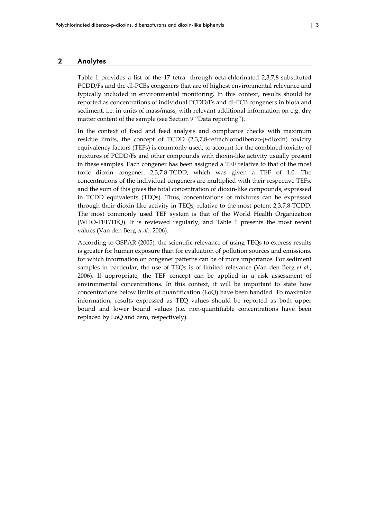#### 2 Analytes

Table 1 provides a list of the 17 tetra- through octa-chlorinated 2,3,7,8-substituted PCDD/Fs and the dl‐PCBs congeners that are of highest environmental relevance and typically included in environmental monitoring. In this context, results should be reported as concentrations of individual PCDD/Fs and dl‐PCB congeners in biota and sediment, i.e. in units of mass/mass, with relevant additional information on e.g. dry matter content of the sample (see Section 9 "Data reporting").

In the context of food and feed analysis and compliance checks with maximum residue limits, the concept of TCDD (2,3,7,8‐tetrachlorodibenzo‐*p*‐dioxin) toxicity equivalency factors (TEFs) is commonly used, to account for the combined toxicity of mixtures of PCDD/Fs and other compounds with dioxin‐like activity usually present in these samples. Each congener has been assigned a TEF relative to that of the most toxic dioxin congener, 2,3,7,8‐TCDD, which was given a TEF of 1.0. The concentrations of the individual congeners are multiplied with their respective TEFs, and the sum of this gives the total concentration of dioxin‐like compounds, expressed in TCDD equivalents (TEQs). Thus, concentrations of mixtures can be expressed through their dioxin‐like activity in TEQs, relative to the most potent 2,3,7,8‐TCDD. The most commonly used TEF system is that of the World Health Organization (WHO-TEF/TEQ). It is reviewed regularly, and Table 1 presents the most recent values (Van den Berg *et al.*, 2006).

According to OSPAR (2005), the scientific relevance of using TEQs to express results is greater for human exposure than for evaluation of pollution sources and emissions, for which information on congener patterns can be of more importance. For sediment samples in particular, the use of TEQs is of limited relevance (Van den Berg *et al.*, 2006). If appropriate, the TEF concept can be applied in a risk assessment of environmental concentrations. In this context, it will be important to state how concentrations below limits of quantification (LoQ) have been handled. To maximize information, results expressed as TEQ values should be reported as both upper bound and lower bound values (i.e. non‐quantifiable concentrations have been replaced by LoQ and zero, respectively).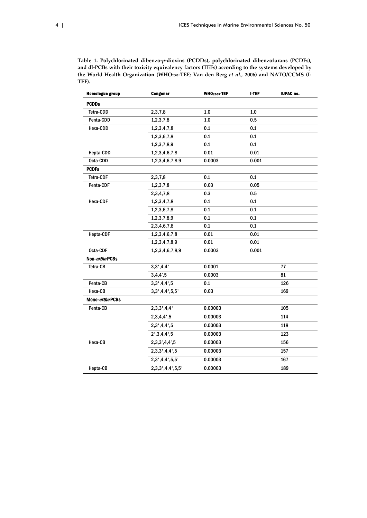**Table 1. Polychlorinated dibenzo‐***p***‐dioxins (PCDDs), polychlorinated dibenzofurans (PCDFs), and dl‐PCBs with their toxicity equivalency factors (TEFs) according to the systems developed by the World Health Organization (WHO2005‐TEF; Van den Berg** *et al.***, 2006) and NATO/CCMS (I‐ TEF).**

| 77  |
|-----|
| 81  |
| 126 |
| 169 |
|     |
| 105 |
| 114 |
| 118 |
| 123 |
| 156 |
| 157 |
| 167 |
| 189 |
|     |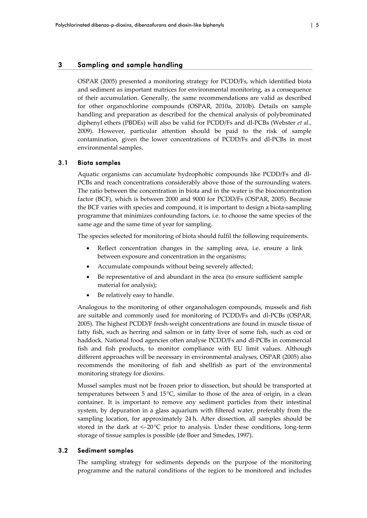## 3 Sampling and sample handling

OSPAR (2005) presented a monitoring strategy for PCDD/Fs, which identified biota and sediment as important matrices for environmental monitoring, as a consequence of their accumulation. Generally, the same recommendations are valid as described for other organochlorine compounds (OSPAR, 2010a, 2010b). Details on sample handling and preparation as described for the chemical analysis of polybrominated diphenyl ethers (PBDEs) will also be valid for PCDD/Fs and dl‐PCBs (Webster *et al.*, 2009). However, particular attention should be paid to the risk of sample contamination, given the lower concentrations of PCDD/Fs and dl‐PCBs in most environmental samples.

### 3.1 Biota samples

Aquatic organisms can accumulate hydrophobic compounds like PCDD/Fs and dl‐ PCBs and reach concentrations considerably above those of the surrounding waters. The ratio between the concentration in biota and in the water is the bioconcentration factor (BCF), which is between 2000 and 9000 for PCDD/Fs (OSPAR, 2005). Because the BCF varies with species and compound, it is important to design a biota‐sampling programme that minimizes confounding factors, i.e. to choose the same species of the same age and the same time of year for sampling.

The species selected for monitoring of biota should fulfil the following requirements.

- Reflect concentration changes in the sampling area, i.e. ensure a link between exposure and concentration in the organisms;
- Accumulate compounds without being severely affected;
- Be representative of and abundant in the area (to ensure sufficient sample material for analysis);
- Be relatively easy to handle.

Analogous to the monitoring of other organohalogen compounds, mussels and fish are suitable and commonly used for monitoring of PCDD/Fs and dl‐PCBs (OSPAR, 2005). The highest PCDD/F fresh‐weight concentrations are found in muscle tissue of fatty fish, such as herring and salmon or in fatty liver of some fish, such as cod or haddock. National food agencies often analyse PCDD/Fs and dl‐PCBs in commercial fish and fish products, to monitor compliance with EU limit values. Although different approaches will be necessary in environmental analyses, OSPAR (2005) also recommends the monitoring of fish and shellfish as part of the environmental monitoring strategy for dioxins.

Mussel samples must not be frozen prior to dissection, but should be transported at temperatures between 5 and 15°C, similar to those of the area of origin, in a clean container. It is important to remove any sediment particles from their intestinal system, by depuration in a glass aquarium with filtered water, preferably from the sampling location, for approximately 24 h. After dissection, all samples should be stored in the dark at  $\leq$ -20 $\degree$ C prior to analysis. Under these conditions, long-term storage of tissue samples is possible (de Boer and Smedes, 1997).

#### 3.2 Sediment samples

The sampling strategy for sediments depends on the purpose of the monitoring programme and the natural conditions of the region to be monitored and includes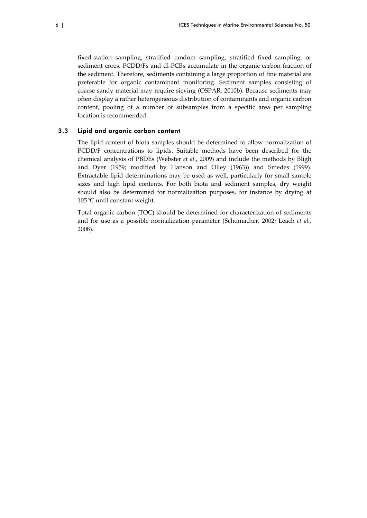fixed-station sampling, stratified random sampling, stratified fixed sampling, or sediment cores. PCDD/Fs and dl-PCBs accumulate in the organic carbon fraction of the sediment. Therefore, sediments containing a large proportion of fine material are preferable for organic contaminant monitoring. Sediment samples consisting of coarse sandy material may require sieving (OSPAR, 2010b). Because sediments may often display a rather heterogeneous distribution of contaminants and organic carbon content, pooling of a number of subsamples from a specific area per sampling location is recommended.

#### 3.3 Lipid and organic carbon content

The lipid content of biota samples should be determined to allow normalization of PCDD/F concentrations to lipids. Suitable methods have been described for the chemical analysis of PBDEs (Webster *et al.*, 2009) and include the methods by Bligh and Dyer (1959; modified by Hanson and Olley (1963)) and Smedes (1999). Extractable lipid determinations may be used as well, particularly for small sample sizes and high lipid contents. For both biota and sediment samples, dry weight should also be determined for normalization purposes, for instance by drying at 105°C until constant weight.

Total organic carbon (TOC) should be determined for characterization of sediments and for use as a possible normalization parameter (Schumacher, 2002; Leach *et al.*, 2008).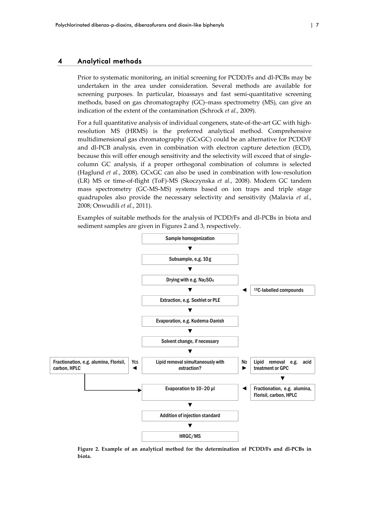### 4 Analytical methods

Prior to systematic monitoring, an initial screening for PCDD/Fs and dl-PCBs may be undertaken in the area under consideration. Several methods are available for screening purposes. In particular, bioassays and fast semi-quantitative screening methods, based on gas chromatography (GC)–mass spectrometry (MS), can give an indication of the extent of the contamination (Schrock *et al.*, 2009).

For a full quantitative analysis of individual congeners, state-of-the-art GC with highresolution MS (HRMS) is the preferred analytical method. Comprehensive multidimensional gas chromatography (GCxGC) could be an alternative for PCDD/F and dl‐PCB analysis, even in combination with electron capture detection (ECD), because this will offer enough sensitivity and the selectivity will exceed that of singlecolumn GC analysis, if a proper orthogonal combination of columns is selected (Haglund *et al.*, 2008). GCxGC can also be used in combination with low‐resolution (LR) MS or time‐of‐flight (ToF)‐MS (Skoczynska *et al.*, 2008). Modern GC tandem mass spectrometry (GC‐MS‐MS) systems based on ion traps and triple stage quadrupoles also provide the necessary selectivity and sensitivity (Malavia *et al.*, 2008; Onwudili *et al.*, 2011).

Examples of suitable methods for the analysis of PCDD/Fs and dl‐PCBs in biota and sediment samples are given in Figures 2 and 3, respectively.



**Figure 2. Example of an analytical method for the determination of PCDD/Fs and dl‐PCBs in biota.**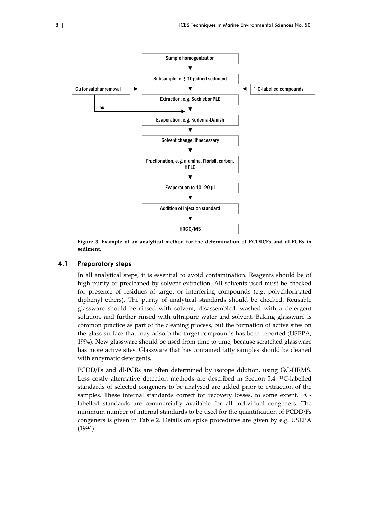

**Figure 3. Example of an analytical method for the determination of PCDD/Fs and dl‐PCBs in sediment.**

#### 4.1 Preparatory steps

In all analytical steps, it is essential to avoid contamination. Reagents should be of high purity or precleaned by solvent extraction. All solvents used must be checked for presence of residues of target or interfering compounds (e.g. polychlorinated diphenyl ethers). The purity of analytical standards should be checked. Reusable glassware should be rinsed with solvent, disassembled, washed with a detergent solution, and further rinsed with ultrapure water and solvent. Baking glassware is common practice as part of the cleaning process, but the formation of active sites on the glass surface that may adsorb the target compounds has been reported (USEPA, 1994). New glassware should be used from time to time, because scratched glassware has more active sites. Glassware that has contained fatty samples should be cleaned with enzymatic detergents.

PCDD/Fs and dl‐PCBs are often determined by isotope dilution, using GC‐HRMS. Less costly alternative detection methods are described in Section 5.4. <sup>13</sup>C-labelled standards of selected congeners to be analysed are added prior to extraction of the samples. These internal standards correct for recovery losses, to some extent. <sup>13</sup>C– labelled standards are commercially available for all individual congeners. The minimum number of internal standards to be used for the quantification of PCDD/Fs congeners is given in Table 2. Details on spike procedures are given by e.g. USEPA (1994).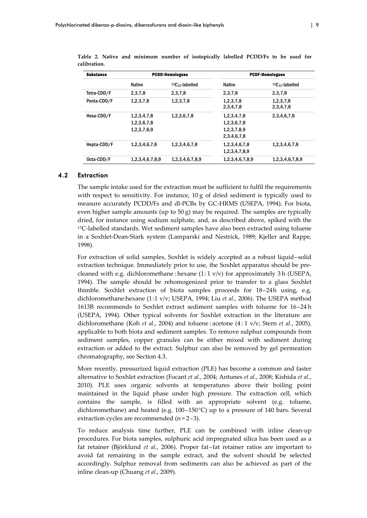| <b>Substance</b> | <b>PCDD-Homologues</b>                    |                      |                                                          | <b>PCDF-Homologues</b> |
|------------------|-------------------------------------------|----------------------|----------------------------------------------------------|------------------------|
|                  | <b>Native</b>                             | $13C_{12}$ -labelled | <b>Native</b>                                            | $13C_{12}$ -labelled   |
| Tetra-CDD/F      | 2,3,7,8                                   | 2,3,7,8              | 2,3,7,8                                                  | 2,3,7,8                |
| Penta-CDD/F      | 1,2,3,7,8                                 | 1,2,3,7,8            | 1,2,3,7,8<br>2,3,4,7,8                                   | 1,2,3,7,8<br>2,3,4,7,8 |
| Hexa-CDD/F       | 1,2,3,4,7,8<br>1,2,3,6,7,8<br>1,2,3,7,8,9 | 1,2,3,6,7,8          | 1,2,3,4,7,8<br>1,2,3,6,7,8<br>1,2,3,7,8,9<br>2,3,4,6,7,8 | 2,3,4,6,7,8            |
| Hepta-CDD/F      | 1,2,3,4,6,7,8                             | 1,2,3,4,6,7,8        | 1,2,3,4,6,7,8<br>1,2,3,4,7,8,9                           | 1,2,3,4,6,7,8          |
| Octa-CDD/F       | 1,2,3,4,6,7,8,9                           | 1,2,3,4,6,7,8,9      | 1,2,3,4,6,7,8,9                                          | 1,2,3,4,6,7,8,9        |

**Table 2. Native and minimum number of isotopically labelled PCDD/Fs to be used for calibration.**

### 4.2 Extraction

The sample intake used for the extraction must be sufficient to fulfil the requirements with respect to sensitivity. For instance,  $10 g$  of dried sediment is typically used to measure accurately PCDD/Fs and dl‐PCBs by GC‐HRMS (USEPA, 1994). For biota, even higher sample amounts (up to  $50 g$ ) may be required. The samples are typically dried, for instance using sodium sulphate, and, as described above, spiked with the <sup>13</sup>C-labelled standards. Wet sediment samples have also been extracted using toluene in a Soxhlet‐Dean‐Stark system (Lamparski and Nestrick, 1989; Kjeller and Rappe, 1998).

For extraction of solid samples, Soxhlet is widely accepted as a robust liquid–solid extraction technique. Immediately prior to use, the Soxhlet apparatus should be precleaned with e.g. dichloromethane : hexane  $(1:1 \text{ v/v})$  for approximately 3 h (USEPA, 1994). The sample should be rehomogenized prior to transfer to a glass Soxhlet thimble. Soxhlet extraction of biota samples proceeds for 18–24h using, e.g. dichloromethane:hexane (1:1 v/v; USEPA, 1994; Liu *et al.*, 2006). The USEPA method 1613B recommends to Soxhlet extract sediment samples with toluene for 16–24 h (USEPA, 1994). Other typical solvents for Soxhlet extraction in the literature are dichloromethane (Koh *et al.*, 2004) and toluene : acetone (4 : 1 v/v; Stern *et al.*, 2005), applicable to both biota and sediment samples. To remove sulphur compounds from sediment samples, copper granules can be either mixed with sediment during extraction or added to the extract. Sulphur can also be removed by gel permeation chromatography, see Section 4.3.

More recently, pressurized liquid extraction (PLE) has become a common and faster alternative to Soxhlet extraction (Focant *et al.*, 2004; Antunes *et al.*, 2008; Kishida *et al.*, 2010). PLE uses organic solvents at temperatures above their boiling point maintained in the liquid phase under high pressure. The extraction cell, which contains the sample, is filled with an appropriate solvent (e.g. toluene, dichloromethane) and heated (e.g. 100–150°C) up to a pressure of 140 bars. Several extraction cycles are recommended (n = 2–3).

To reduce analysis time further, PLE can be combined with inline clean‐up procedures. For biota samples, sulphuric acid impregnated silica has been used as a fat retainer (Björklund *et al.*, 2006). Proper fat–fat retainer ratios are important to avoid fat remaining in the sample extract, and the solvent should be selected accordingly. Sulphur removal from sediments can also be achieved as part of the inline clean‐up (Chuang *et al.*, 2009).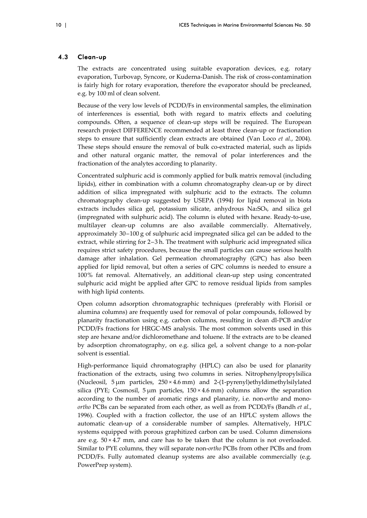## 4.3 Clean-up

The extracts are concentrated using suitable evaporation devices, e.g. rotary evaporation, Turbovap, Syncore, or Kuderna‐Danish. The risk of cross‐contamination is fairly high for rotary evaporation, therefore the evaporator should be precleaned, e.g. by 100 ml of clean solvent.

Because of the very low levels of PCDD/Fs in environmental samples, the elimination of interferences is essential, both with regard to matrix effects and coeluting compounds. Often, a sequence of clean‐up steps will be required. The European research project DIFFERENCE recommended at least three clean‐up or fractionation steps to ensure that sufficiently clean extracts are obtained (Van Loco *et al.*, 2004). These steps should ensure the removal of bulk co-extracted material, such as lipids and other natural organic matter, the removal of polar interferences and the fractionation of the analytes according to planarity.

Concentrated sulphuric acid is commonly applied for bulk matrix removal (including lipids), either in combination with a column chromatography clean‐up or by direct addition of silica impregnated with sulphuric acid to the extracts. The column chromatography clean‐up suggested by USEPA (1994) for lipid removal in biota extracts includes silica gel, potassium silicate, anhydrous Na2SO4, and silica gel (impregnated with sulphuric acid). The column is eluted with hexane. Ready‐to‐use, multilayer clean-up columns are also available commercially. Alternatively, approximately  $30-100$  g of sulphuric acid impregnated silica gel can be added to the extract, while stirring for 2–3 h. The treatment with sulphuric acid impregnated silica requires strict safety procedures, because the small particles can cause serious health damage after inhalation. Gel permeation chromatography (GPC) has also been applied for lipid removal, but often a series of GPC columns is needed to ensure a 100% fat removal. Alternatively, an additional clean-up step using concentrated sulphuric acid might be applied after GPC to remove residual lipids from samples with high lipid contents.

Open column adsorption chromatographic techniques (preferably with Florisil or alumina columns) are frequently used for removal of polar compounds, followed by planarity fractionation using e.g. carbon columns, resulting in clean dl‐PCB and/or PCDD/Fs fractions for HRGC‐MS analysis. The most common solvents used in this step are hexane and/or dichloromethane and toluene. If the extracts are to be cleaned by adsorption chromatography, on e.g. silica gel, a solvent change to a non‐polar solvent is essential.

High-performance liquid chromatography (HPLC) can also be used for planarity fractionation of the extracts, using two columns in series. Nitrophenylpropylsilica (Nucleosil,  $5 \mu m$  particles,  $250 \times 4.6 \text{ mm}$ ) and  $2-(1-pyreny)$ ethyldimethylsilylated silica (PYE; Cosmosil,  $5 \mu m$  particles,  $150 \times 4.6 \text{ mm}$ ) columns allow the separation according to the number of aromatic rings and planarity, i.e. non‐*ortho* and mono‐ *ortho* PCBs can be separated from each other, as well as from PCDD/Fs (Bandh *et al.*, 1996). Coupled with a fraction collector, the use of an HPLC system allows the automatic clean‐up of a considerable number of samples. Alternatively, HPLC systems equipped with porous graphitized carbon can be used. Column dimensions are e.g.  $50 \times 4.7$  mm, and care has to be taken that the column is not overloaded. Similar to PYE columns, they will separate non‐*ortho* PCBs from other PCBs and from PCDD/Fs. Fully automated cleanup systems are also available commercially (e.g. PowerPrep system).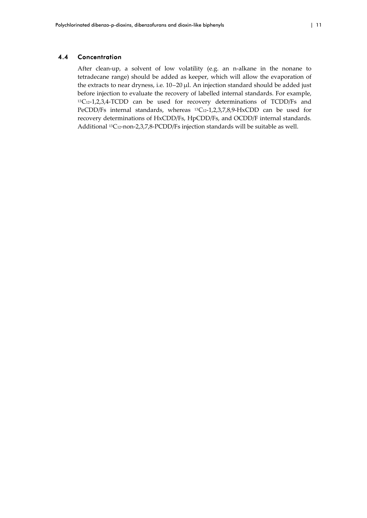#### 4.4 Concentration

After clean-up, a solvent of low volatility (e.g. an n-alkane in the nonane to tetradecane range) should be added as keeper, which will allow the evaporation of the extracts to near dryness, i.e. 10–20 μl. An injection standard should be added just before injection to evaluate the recovery of labelled internal standards. For example, 13C12-1,2,3,4-TCDD can be used for recovery determinations of TCDD/Fs and PeCDD/Fs internal standards, whereas <sup>13</sup>C<sub>12</sub>-1,2,3,7,8,9-HxCDD can be used for recovery determinations of HxCDD/Fs, HpCDD/Fs, and OCDD/F internal standards. Additional <sup>13</sup>C<sub>12</sub>-non-2,3,7,8-PCDD/Fs injection standards will be suitable as well.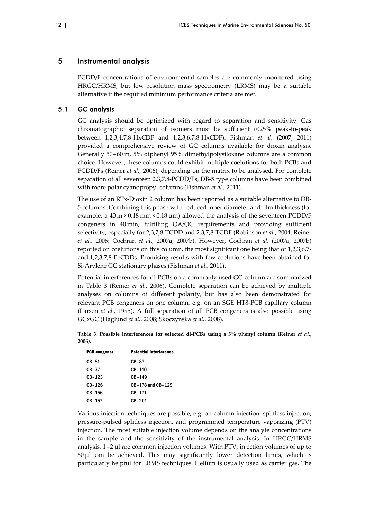### 5 Instrumental analysis

PCDD/F concentrations of environmental samples are commonly monitored using HRGC/HRMS, but low resolution mass spectrometry (LRMS) may be a suitable alternative if the required minimum performance criteria are met.

### 5.1 GC analysis

GC analysis should be optimized with regard to separation and sensitivity. Gas chromatographic separation of isomers must be sufficient (<25% peak‐to‐peak between 1,2,3,4,7,8‐HxCDF and 1,2,3,6,7,8‐HxCDF). Fishman *et al.* (2007, 2011) provided a comprehensive review of GC columns available for dioxin analysis. Generally 50–60 m, 5% diphenyl 95% dimethylpolysiloxane columns are a common choice. However, these columns could exhibit multiple coelutions for both PCBs and PCDD/Fs (Reiner *et al.*, 2006), depending on the matrix to be analysed. For complete separation of all seventeen 2,3,7,8-PCDD/Fs, DB-5 type columns have been combined with more polar cyanopropyl columns (Fishman *et al.*, 2011).

The use of an RTx‐Dioxin 2 column has been reported as a suitable alternative to DB‐ 5 columns. Combining this phase with reduced inner diameter and film thickness (for example, a  $40 \text{ m} \times 0.18 \text{ mm} \times 0.18 \text{ µm}$ ) allowed the analysis of the seventeen PCDD/F congeners in 40 min, fulfilling QA/QC requirements and providing sufficient selectivity, especially for 2,3,7,8‐TCDD and 2,3,7,8‐TCDF (Robinson *et al.*, 2004; Reiner *et al.*, 2006; Cochran *et al.*, 2007a, 2007b). However, Cochran *et al.* (2007a, 2007b) reported on coelutions on this column, the most significant one being that of 1,2,3,6,7‐ and 1,2,3,7,8‐PeCDDs. Promising results with few coelutions have been obtained for Si‐Arylene GC stationary phases (Fishman *et al.*, 2011).

Potential interferences for dl‐PCBs on a commonly used GC‐column are summarized in Table 3 (Reiner *et al.*, 2006). Complete separation can be achieved by multiple analyses on columns of different polarity, but has also been demonstrated for relevant PCB congeners on one column, e.g. on an SGE HT8‐PCB capillary column (Larsen *et al.*, 1995). A full separation of all PCB congeners is also possible using GCxGC (Haglund *et al.*, 2008; Skoczynska *et al.*, 2008).

| <b>PCB</b> congener | Potential interference |  |
|---------------------|------------------------|--|
| CB-81               | CB-87                  |  |
| <b>CB-77</b>        | CB-110                 |  |
| $CB-123$            | CB-149                 |  |
| CB-126              | CB-178 and CB-129      |  |
| CB-156              | CB-171                 |  |
| CB-157              | $CB-201$               |  |

**Table 3. Possible interferences for selected dl‐PCBs using a 5% phenyl column (Reiner** *et al.***, 2006).**

Various injection techniques are possible, e.g. on‐column injection, splitless injection, pressure‐pulsed splitless injection, and programmed temperature vaporizing (PTV) injection. The most suitable injection volume depends on the analyte concentrations in the sample and the sensitivity of the instrumental analysis. In HRGC/HRMS analysis,  $1-2 \mu$  are common injection volumes. With PTV, injection volumes of up to  $50 \mu l$  can be achieved. This may significantly lower detection limits, which is particularly helpful for LRMS techniques. Helium is usually used as carrier gas. The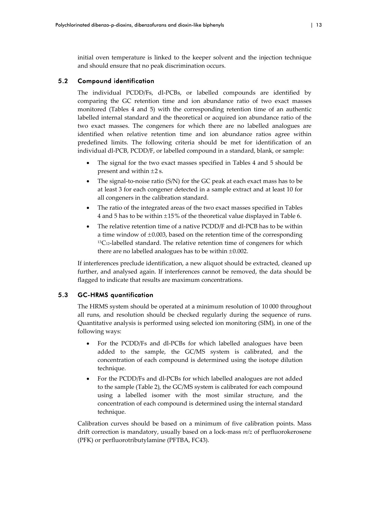initial oven temperature is linked to the keeper solvent and the injection technique and should ensure that no peak discrimination occurs.

## 5.2 Compound identification

The individual PCDD/Fs, dl‐PCBs, or labelled compounds are identified by comparing the GC retention time and ion abundance ratio of two exact masses monitored (Tables 4 and 5) with the corresponding retention time of an authentic labelled internal standard and the theoretical or acquired ion abundance ratio of the two exact masses. The congeners for which there are no labelled analogues are identified when relative retention time and ion abundance ratios agree within predefined limits. The following criteria should be met for identification of an individual dl-PCB, PCDD/F, or labelled compound in a standard, blank, or sample:

- The signal for the two exact masses specified in Tables 4 and 5 should be present and within  $\pm 2$  s.
- The signal-to-noise ratio  $(S/N)$  for the GC peak at each exact mass has to be at least 3 for each congener detected in a sample extract and at least 10 for all congeners in the calibration standard.
- The ratio of the integrated areas of the two exact masses specified in Tables 4 and 5 has to be within  $\pm 15\%$  of the theoretical value displayed in Table 6.
- The relative retention time of a native PCDD/F and dl-PCB has to be within a time window of  $\pm 0.003$ , based on the retention time of the corresponding  $13C<sub>12</sub>$ -labelled standard. The relative retention time of congeners for which there are no labelled analogues has to be within  $\pm 0.002$ .

If interferences preclude identification, a new aliquot should be extracted, cleaned up further, and analysed again. If interferences cannot be removed, the data should be flagged to indicate that results are maximum concentrations.

## 5.3 GC-HRMS quantification

The HRMS system should be operated at a minimum resolution of 10 000 throughout all runs, and resolution should be checked regularly during the sequence of runs. Quantitative analysis is performed using selected ion monitoring (SIM), in one of the following ways:

- For the PCDD/Fs and dl-PCBs for which labelled analogues have been added to the sample, the GC/MS system is calibrated, and the concentration of each compound is determined using the isotope dilution technique.
- For the PCDD/Fs and dl‐PCBs for which labelled analogues are not added to the sample (Table 2), the GC/MS system is calibrated for each compound using a labelled isomer with the most similar structure, and the concentration of each compound is determined using the internal standard technique.

Calibration curves should be based on a minimum of five calibration points. Mass drift correction is mandatory, usually based on a lock‐mass *m/z* of perfluorokerosene (PFK) or perfluorotributylamine (PFTBA, FC43).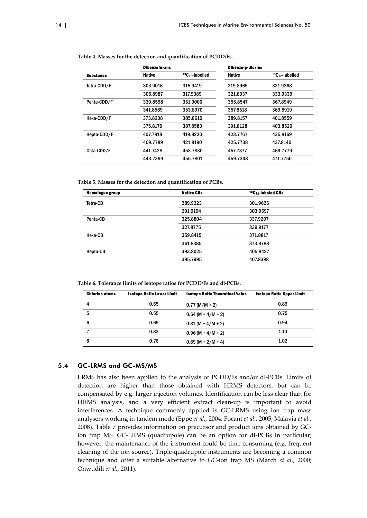|                  | <b>Dibenzofurans</b> |                   | Dibenzo-p-dioxins |                      |
|------------------|----------------------|-------------------|-------------------|----------------------|
| <b>Substance</b> | <b>Native</b>        | $13C12$ -labelled | <b>Native</b>     | $13C_{12}$ -labelled |
| Tetra-CDD/F      | 303.9016             | 315.9419          | 319.8965          | 331.9368             |
|                  | 305.8987             | 317.9389          | 321.8937          | 333.9339             |
| Penta-CDD/F      | 339.8598             | 351.9000          | 355.8547          | 367.8949             |
|                  | 341.8569             | 353.8970          | 357.8518          | 369.8919             |
| Hexa-CDD/F       | 373.8208             | 385.8610          | 389.8157          | 401.8559             |
|                  | 375.8179             | 387.8580          | 391.8128          | 403.8529             |
| Hepta-CDD/F      | 407.7818             | 419.8220          | 423.7767          | 435.8169             |
|                  | 409.7789             | 421.8190          | 425.7738          | 437.8140             |
| Octa-CDD/F       | 441.7428             | 453.7830          | 457.7377          | 469.7779             |
|                  | 443.7399             | 455.7801          | 459.7348          | 471.7750             |

**Table 4. Masses for the detection and quantification of PCDD/Fs.**

**Table 5. Masses for the detection and quantification of PCBs.**

| <b>Homologue group</b> | <b>Native CBs</b> | <sup>13</sup> C <sub>12</sub> -labeled CBs |
|------------------------|-------------------|--------------------------------------------|
| Tetra-CB               | 289.9223          | 301.9626                                   |
|                        | 291.9194          | 303.9597                                   |
| Penta-CB               | 325.8804          | 337.9207                                   |
|                        | 327,8775          | 339.9177                                   |
| Hexa-CB                | 359.8415          | 371.8817                                   |
|                        | 361.8385          | 373.8788                                   |
| Hepta-CB               | 393.8025          | 405.8427                                   |
|                        | 395.7995          | 407.8398                                   |

**Table 6. Tolerance limits of isotope ratios for PCDD/Fs and dl‐PCBs.**

| <b>Chlorine atoms</b> | <b>Isotope Ratio Lower Limit</b> | <b>Isotope Ratio Theoretical Value</b> | <b>Isotope Ratio Upper Limit</b> |
|-----------------------|----------------------------------|----------------------------------------|----------------------------------|
| 4                     | 0.65                             | $0.77 (M/M + 2)$                       | 0.89                             |
| 5                     | 0.55                             | $0.64$ (M + 4/M + 2)                   | 0.75                             |
| 6                     | 0.69                             | $0.81 (M + 4/M + 2)$                   | 0.94                             |
|                       | 0.83                             | $0.96$ (M + 4/M + 2)                   | 1.10                             |
| 8                     | 0.76                             | $0.89(M + 2/M + 4)$                    | 1.02                             |

## 5.4 GC-LRMS and GC-MS/MS

LRMS has also been applied to the analysis of PCDD/Fs and/or dl‐PCBs. Limits of detection are higher than those obtained with HRMS detectors, but can be compensated by e.g. larger injection volumes. Identification can be less clear than for HRMS analysis, and a very efficient extract clean-up is important to avoid interferences. A technique commonly applied is GC‐LRMS using ion trap mass analysers working in tandem mode (Eppe *et al.*, 2004; Focant *et al.*, 2005; Malavia *et al.*, 2008). Table 7 provides information on precursor and product ions obtained by GC‐ ion trap MS. GC-LRMS (quadrupole) can be an option for dl-PCBs in particular; however, the maintenance of the instrument could be time consuming (e.g. frequent cleaning of the ion source). Triple‐quadrupole instruments are becoming a common technique and offer a suitable alternative to GC‐ion trap MS (March *et al.*, 2000; Onwudili *et al.*, 2011).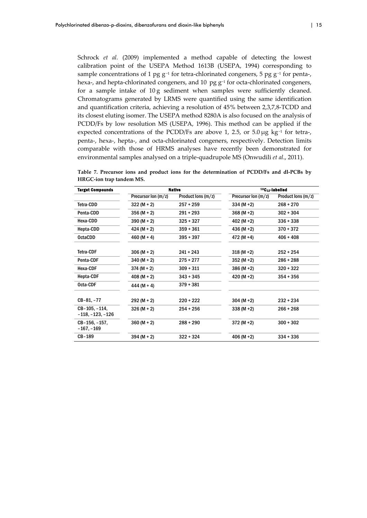Schrock *et al.* (2009) implemented a method capable of detecting the lowest calibration point of the USEPA Method 1613B (USEPA, 1994) corresponding to sample concentrations of 1 pg g<sup>-1</sup> for tetra-chlorinated congeners, 5 pg g<sup>-1</sup> for penta-, hexa-, and hepta-chlorinated congeners, and 10 pg  $g^{-1}$  for octa-chlorinated congeners, for a sample intake of 10 g sediment when samples were sufficiently cleaned. Chromatograms generated by LRMS were quantified using the same identification and quantification criteria, achieving a resolution of 45% between 2,3,7,8‐TCDD and its closest eluting isomer. The USEPA method 8280A is also focused on the analysis of PCDD/Fs by low resolution MS (USEPA, 1996). This method can be applied if the expected concentrations of the PCDD/Fs are above 1, 2.5, or 5.0  $\mu$ g kg<sup>-1</sup> for tetra-, penta-, hexa-, hepta-, and octa-chlorinated congeners, respectively. Detection limits comparable with those of HRMS analyses have recently been demonstrated for environmental samples analysed on a triple‐quadrupole MS (Onwudili *et al*., 2011).

**Table 7. Precursor ions and product ions for the determination of PCDD/Fs and dl‐PCBs by HRGC‐ion trap tandem MS.**

| <b>Target Compounds</b>           |                     | <b>Native</b>      |                     | $13C_{12}$ -labelled |
|-----------------------------------|---------------------|--------------------|---------------------|----------------------|
|                                   | Precursor Ion (m/z) | Product lons (m/z) | Precursor Ion (m/z) | Product lons (m/z)   |
| Tetra-CDD                         | $322 (M + 2)$       | $257 + 259$        | $334 (M + 2)$       | $268 + 270$          |
| Penta-CDD                         | $356 (M + 2)$       | $291 + 293$        | $368 (M+2)$         | $302 + 304$          |
| Hexa-CDD                          | $390 (M + 2)$       | $325 + 327$        | $402 (M+2)$         | $336 + 338$          |
| Hepta-CDD                         | $424 (M + 2)$       | $359 + 361$        | $436 (M + 2)$       | $370 + 372$          |
| <b>OctaCDD</b>                    | $460 (M + 4)$       | $395 + 397$        | 472 (M +4)          | $406 + 408$          |
|                                   |                     |                    |                     |                      |
| <b>Tetra-CDF</b>                  | $306 (M + 2)$       | $241 + 243$        | $318 (M+2)$         | $252 + 254$          |
| Penta-CDF                         | $340 (M + 2)$       | $275 + 277$        | $352 (M+2)$         | $286 + 288$          |
| Hexa-CDF                          | $374 (M + 2)$       | $309 + 311$        | $386 (M + 2)$       | $320 + 322$          |
| <b>Hepta-CDF</b>                  | $408 (M + 2)$       | $343 + 345$        | 420 (M $+2$ )       | $354 + 356$          |
| Octa-CDF                          | $444(M + 4)$        | $379 + 381$        |                     |                      |
|                                   |                     |                    |                     |                      |
| $CB-81, -77$                      | $292 (M + 2)$       | $220 + 222$        | $304 (M + 2)$       | $232 + 234$          |
| CB-105, -114,<br>-118, -123, -126 | $326 (M + 2)$       | $254 + 256$        | $338 (M + 2)$       | $266 + 268$          |
| CB-156, -157,<br>$-167, -169$     | $360 (M + 2)$       | $288 + 290$        | $372 (M + 2)$       | $300 + 302$          |
| CB-189                            | $394 (M + 2)$       | $322 + 324$        | $406 (M + 2)$       | $334 + 336$          |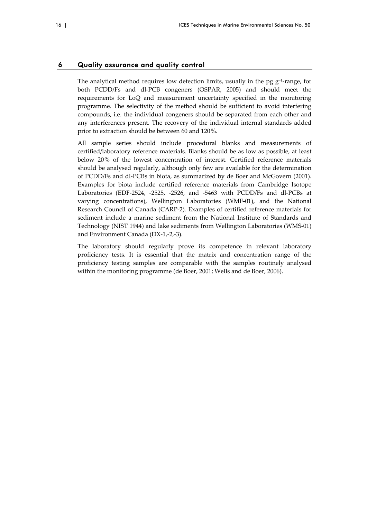#### 6 Quality assurance and quality control

The analytical method requires low detection limits, usually in the pg  $g^{-1}$ -range, for both PCDD/Fs and dl‐PCB congeners (OSPAR, 2005) and should meet the requirements for LoQ and measurement uncertainty specified in the monitoring programme. The selectivity of the method should be sufficient to avoid interfering compounds, i.e. the individual congeners should be separated from each other and any interferences present. The recovery of the individual internal standards added prior to extraction should be between 60 and 120%.

All sample series should include procedural blanks and measurements of certified/laboratory reference materials. Blanks should be as low as possible, at least below 20% of the lowest concentration of interest. Certified reference materials should be analysed regularly, although only few are available for the determination of PCDD/Fs and dl‐PCBs in biota, as summarized by de Boer and McGovern (2001). Examples for biota include certified reference materials from Cambridge Isotope Laboratories (EDF‐2524, ‐2525, ‐2526, and ‐5463 with PCDD/Fs and dl‐PCBs at varying concentrations), Wellington Laboratories (WMF‐01), and the National Research Council of Canada (CARP‐2). Examples of certified reference materials for sediment include a marine sediment from the National Institute of Standards and Technology (NIST 1944) and lake sediments from Wellington Laboratories (WMS‐01) and Environment Canada (DX‐1,‐2,‐3).

The laboratory should regularly prove its competence in relevant laboratory proficiency tests. It is essential that the matrix and concentration range of the proficiency testing samples are comparable with the samples routinely analysed within the monitoring programme (de Boer, 2001; Wells and de Boer, 2006).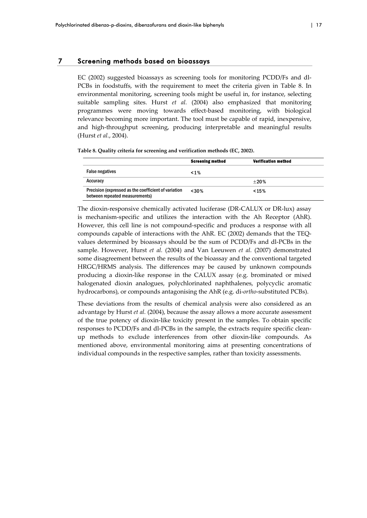EC (2002) suggested bioassays as screening tools for monitoring PCDD/Fs and dl-PCBs in foodstuffs, with the requirement to meet the criteria given in Table 8. In environmental monitoring, screening tools might be useful in, for instance, selecting suitable sampling sites. Hurst *et al.* (2004) also emphasized that monitoring programmes were moving towards effect‐based monitoring, with biological relevance becoming more important. The tool must be capable of rapid, inexpensive, and high‐throughput screening, producing interpretable and meaningful results (Hurst *et al.*, 2004).

| Table 8. Quality criteria for screening and verification methods (EC, 2002). |  |  |  |  |  |  |
|------------------------------------------------------------------------------|--|--|--|--|--|--|
|------------------------------------------------------------------------------|--|--|--|--|--|--|

|                                                                                        | <b>Screening method</b> | <b>Verification method</b> |
|----------------------------------------------------------------------------------------|-------------------------|----------------------------|
| <b>False negatives</b>                                                                 | $1\%$                   |                            |
| Accuracy                                                                               |                         | $+20%$                     |
| Precision (expressed as the coefficient of variation<br>between repeated measurements) | < 30%                   | < 15%                      |

The dioxin-responsive chemically activated luciferase (DR-CALUX or DR-lux) assay is mechanism‐specific and utilizes the interaction with the Ah Receptor (AhR). However, this cell line is not compound‐specific and produces a response with all compounds capable of interactions with the AhR. EC (2002) demands that the TEQ‐ values determined by bioassays should be the sum of PCDD/Fs and dl‐PCBs in the sample. However, Hurst *et al.* (2004) and Van Leeuwen *et al.* (2007) demonstrated some disagreement between the results of the bioassay and the conventional targeted HRGC/HRMS analysis. The differences may be caused by unknown compounds producing a dioxin‐like response in the CALUX assay (e.g. brominated or mixed halogenated dioxin analogues, polychlorinated naphthalenes, polycyclic aromatic hydrocarbons), or compounds antagonising the AhR (e.g. di‐*ortho*‐substituted PCBs).

These deviations from the results of chemical analysis were also considered as an advantage by Hurst *et al.* (2004), because the assay allows a more accurate assessment of the true potency of dioxin‐like toxicity present in the samples. To obtain specific responses to PCDD/Fs and dl‐PCBs in the sample, the extracts require specific clean‐ up methods to exclude interferences from other dioxin‐like compounds. As mentioned above, environmental monitoring aims at presenting concentrations of individual compounds in the respective samples, rather than toxicity assessments.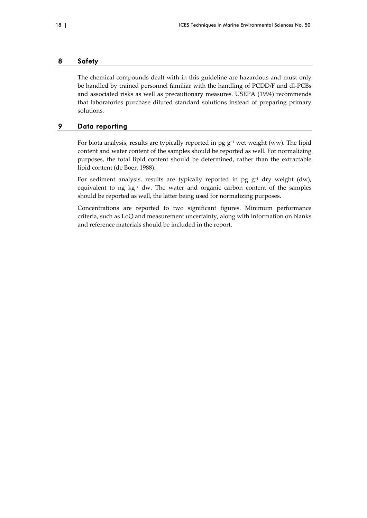#### 8 Safety

The chemical compounds dealt with in this guideline are hazardous and must only be handled by trained personnel familiar with the handling of PCDD/F and dl‐PCBs and associated risks as well as precautionary measures. USEPA (1994) recommends that laboratories purchase diluted standard solutions instead of preparing primary solutions.

## 9 Data reporting

For biota analysis, results are typically reported in pg g−<sup>1</sup> wet weight (ww). The lipid content and water content of the samples should be reported as well. For normalizing purposes, the total lipid content should be determined, rather than the extractable lipid content (de Boer, 1988).

For sediment analysis, results are typically reported in pg g−<sup>1</sup> dry weight (dw), equivalent to ng kg−<sup>1</sup> dw. The water and organic carbon content of the samples should be reported as well, the latter being used for normalizing purposes.

Concentrations are reported to two significant figures. Minimum performance criteria, such as LoQ and measurement uncertainty, along with information on blanks and reference materials should be included in the report.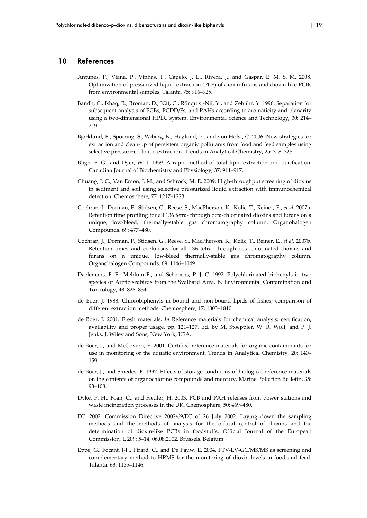#### 10 References

- Antunes, P., Viana, P., Vinhas, T., Capelo, J. L., Rivera, J., and Gaspar, E. M. S. M. 2008. Optimization of pressurized liquid extraction (PLE) of dioxin‐furans and dioxin‐like PCBs from environmental samples. Talanta, 75: 916–925.
- Bandh, C., Ishaq, R., Broman, D., Näf, C., Rönquist‐Nii, Y., and Zebühr, Y. 1996. Separation for subsequent analysis of PCBs, PCDD/Fs, and PAHs according to aromaticity and planarity using a two-dimensional HPLC system. Environmental Science and Technology, 30: 214– 219.
- Björklund, E., Sporring, S., Wiberg, K., Haglund, P., and von Holst, C. 2006. New strategies for extraction and clean-up of persistent organic pollutants from food and feed samples using selective pressurized liquid extraction. Trends in Analytical Chemistry, 25: 318–325.
- Bligh, E. G., and Dyer, W. J. 1959. A rapid method of total lipid extraction and purification. Canadian Journal of Biochemistry and Physiology, 37: 911–917.
- Chuang, J. C., Van Emon, J. M., and Schrock, M. E. 2009. High‐throughput screening of dioxins in sediment and soil using selective pressurized liquid extraction with immunochemical detection. Chemosphere, 77: 1217–1223.
- Cochran, J., Dorman, F., Stidsen, G., Reese, S., MacPherson, K., Kolic, T., Reiner, E., *et al*. 2007a. Retention time profiling for all 136 tetra-through octa-chlorinated dioxins and furans on a unique, low‐bleed, thermally‐stable gas chromatography column. Organohalogen Compounds, 69: 477–480.
- Cochran, J., Dorman, F., Stidsen, G., Reese, S., MacPherson, K., Kolic, T., Reiner, E., *et al*. 2007b. Retention times and coelutions for all 136 tetra- through octa-chlorinated dioxins and furans on a unique, low-bleed thermally-stable gas chromatography column. Organohalogen Compounds, 69: 1146–1149.
- Daelemans, F. F., Mehlum F., and Schepens, P. J. C. 1992. Polychlorinated biphenyls in two species of Arctic seabirds from the Svalbard Area. B. Environmental Contamination and Toxicology, 48: 828–834.
- de Boer, J. 1988. Chlorobiphenyls in bound and non‐bound lipids of fishes; comparison of different extraction methods. Chemosphere, 17: 1803–1810.
- de Boer, J. 2001. Fresh materials. *In* Reference materials for chemical analysis: certification, availability and proper usage, pp. 121–127. Ed. by M. Stoeppler, W. R. Wolf, and P. J. Jenks. J. Wiley and Sons, New York, USA.
- de Boer, J., and McGovern, E. 2001. Certified reference materials for organic contaminants for use in monitoring of the aquatic environment. Trends in Analytical Chemistry, 20: 140– 159.
- de Boer, J., and Smedes, F. 1997. Effects of storage conditions of biological reference materials on the contents of organochlorine compounds and mercury. Marine Pollution Bulletin, 35: 93–108.
- Dyke, P. H., Foan, C., and Fiedler, H. 2003. PCB and PAH releases from power stations and waste incineration processes in the UK. Chemosphere, 50: 469–480.
- EC. 2002. Commission Directive 2002/69/EC of 26 July 2002. Laying down the sampling methods and the methods of analysis for the official control of dioxins and the determination of dioxin‐like PCBs in foodstuffs. Official Journal of the European Commission, L 209: 5–14, 06.08.2002, Brussels, Belgium.
- Eppe, G., Focant, J‐F., Pirard, C., and De Pauw, E. 2004. PTV‐LV‐GC/MS/MS as screening and complementary method to HRMS for the monitoring of dioxin levels in food and feed. Talanta, 63: 1135–1146.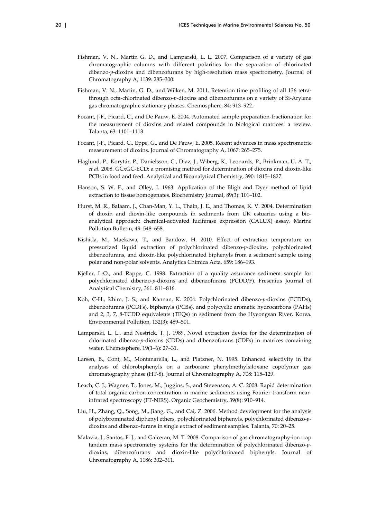- Fishman, V. N., Martin G. D., and Lamparski, L. L. 2007. Comparison of a variety of gas chromatographic columns with different polarities for the separation of chlorinated dibenzo‐*p*‐dioxins and dibenzofurans by high‐resolution mass spectrometry. Journal of Chromatography A, 1139: 285–300.
- Fishman, V. N., Martin, G. D., and Wilken, M. 2011. Retention time profiling of all 136 tetrathrough octa‐chlorinated dibenzo‐*p*‐dioxins and dibenzofurans on a variety of Si‐Arylene gas chromatographic stationary phases. Chemosphere, 84: 913–922.
- Focant, J‐F., Picard, C., and De Pauw, E. 2004. Automated sample preparation‐fractionation for the measurement of dioxins and related compounds in biological matrices: a review. Talanta, 63: 1101–1113.
- Focant, J‐F., Picard, C., Eppe, G., and De Pauw, E. 2005. Recent advances in mass spectrometric measurement of dioxins. Journal of Chromatography A, 1067: 265–275.
- Haglund, P., Korytár, P., Danielsson, C., Diaz, J., Wiberg, K., Leonards, P., Brinkman, U. A. T., *et al.* 2008. GCxGC‐ECD: a promising method for determination of dioxins and dioxin‐like PCBs in food and feed. Analytical and Bioanalytical Chemistry, 390: 1815–1827.
- Hanson, S. W. F., and Olley, J. 1963. Application of the Bligh and Dyer method of lipid extraction to tissue homogenates. Biochemistry Journal, 89(3): 101–102.
- Hurst, M. R., Balaam, J., Chan‐Man, Y. L., Thain, J. E., and Thomas, K. V. 2004. Determination of dioxin and dioxin‐like compounds in sediments from UK estuaries using a bio‐ analytical approach: chemical‐activated luciferase expression (CALUX) assay. Marine Pollution Bulletin, 49: 548–658.
- Kishida, M., Maekawa, T., and Bandow, H. 2010. Effect of extraction temperature on pressurized liquid extraction of polychlorinated dibenzo‐*p*‐dioxins, polychlorinated dibenzofurans, and dioxin‐like polychlorinated biphenyls from a sediment sample using polar and non‐polar solvents. Analytica Chimica Acta, 659: 186–193.
- Kjeller, L-O., and Rappe, C. 1998. Extraction of a quality assurance sediment sample for polychlorinated dibenzo‐*p*‐dioxins and dibenzofurans (PCDD/F). Fresenius Journal of Analytical Chemistry, 361: 811–816.
- Koh, C-H., Khim, J. S., and Kannan, K. 2004. Polychlorinated dibenzo-p-dioxins (PCDDs), dibenzofurans (PCDFs), biphenyls (PCBs), and polycyclic aromatic hydrocarbons (PAHs) and 2, 3, 7, 8‐TCDD equivalents (TEQs) in sediment from the Hyeongsan River, Korea. Environmental Pollution, 132(3): 489–501.
- Lamparski, L. L., and Nestrick, T. J. 1989. Novel extraction device for the determination of chlorinated dibenzo‐*p*‐dioxins (CDDs) and dibenzofurans (CDFs) in matrices containing water. Chemosphere, 19(1–6): 27–31.
- Larsen, B., Cont, M., Montanarella, L., and Platzner, N. 1995. Enhanced selectivity in the analysis of chlorobiphenyls on a carborane phenylmethylsiloxane copolymer gas chromatography phase (HT‐8). Journal of Chromatography A, 708: 115–129.
- Leach, C. J., Wagner, T., Jones, M., Juggins, S., and Stevenson, A. C. 2008. Rapid determination of total organic carbon concentration in marine sediments using Fourier transform near‐ infrared spectroscopy (FT‐NIRS). Organic Geochemistry, 39(8): 910–914.
- Liu, H., Zhang, Q., Song, M., Jiang, G., and Cai, Z. 2006. Method development for the analysis of polybrominated diphenyl ethers, polychlorinated biphenyls, polychlorinated dibenzo‐*p*‐ dioxins and dibenzo‐furans in single extract of sediment samples. Talanta, 70: 20–25.
- Malavia, J., Santos, F. J., and Galceran, M. T. 2008. Comparison of gas chromatography‐ion trap tandem mass spectrometry systems for the determination of polychlorinated dibenzo-*p*dioxins, dibenzofurans and dioxin‐like polychlorinated biphenyls. Journal of Chromatography A, 1186: 302–311.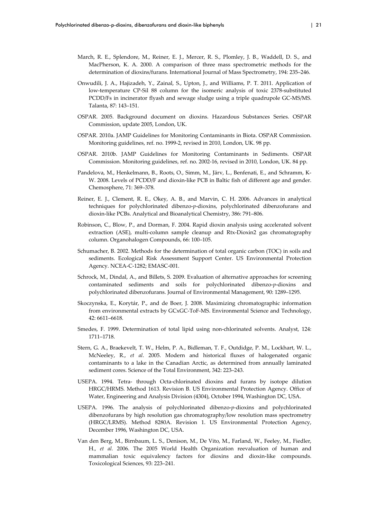- March, R. E., Splendore, M., Reiner, E. J., Mercer, R. S., Plomley, J. B., Waddell, D. S., and MacPherson, K. A. 2000. A comparison of three mass spectrometric methods for the determination of dioxins/furans. International Journal of Mass Spectrometry, 194: 235–246.
- Onwudili, J. A., Hajizadeh, Y., Zainal, S., Upton, J., and Williams, P. T. 2011. Application of low‐temperature CP‐Sil 88 column for the isomeric analysis of toxic 2378‐substituted PCDD/Fs in incinerator flyash and sewage sludge using a triple quadrupole GC‐MS/MS. Talanta, 87: 143–151.
- OSPAR. 2005. Background document on dioxins. Hazardous Substances Series. OSPAR Commission, update 2005, London, UK.
- OSPAR. 2010a. JAMP Guidelines for Monitoring Contaminants in Biota. OSPAR Commission. Monitoring guidelines, ref. no. 1999‐2, revised in 2010, London, UK. 98 pp.
- OSPAR. 2010b. JAMP Guidelines for Monitoring Contaminants in Sediments. OSPAR Commission. Monitoring guidelines, ref. no. 2002‐16, revised in 2010, London, UK. 84 pp.
- Pandelova, M., Henkelmann, B., Roots, O., Simm, M., Järv, L., Benfenati, E., and Schramm, K‐ W. 2008. Levels of PCDD/F and dioxin-like PCB in Baltic fish of different age and gender. Chemosphere, 71: 369–378.
- Reiner, E. J., Clement, R. E., Okey, A. B., and Marvin, C. H. 2006. Advances in analytical techniques for polychlorinated dibenzo‐*p*‐dioxins, polychlorinated dibenzofurans and dioxin‐like PCBs. Analytical and Bioanalytical Chemistry, 386: 791–806.
- Robinson, C., Blow, P., and Dorman, F. 2004. Rapid dioxin analysis using accelerated solvent extraction (ASE), multi‐column sample cleanup and Rtx‐Dioxin2 gas chromatography column. Organohalogen Compounds, 66: 100–105.
- Schumacher, B. 2002. Methods for the determination of total organic carbon (TOC) in soils and sediments. Ecological Risk Assessment Support Center. US Environmental Protection Agency. NCEA‐C‐1282; EMASC‐001.
- Schrock, M., Dindal, A., and Billets, S. 2009. Evaluation of alternative approaches for screening contaminated sediments and soils for polychlorinated dibenzo‐*p*‐dioxins and polychlorinated dibenzofurans. Journal of Environmental Management, 90: 1289–1295.
- Skoczynska, E., Korytár, P., and de Boer, J. 2008. Maximizing chromatographic information from environmental extracts by GCxGC‐ToF‐MS. Environmental Science and Technology, 42: 6611–6618.
- Smedes, F. 1999. Determination of total lipid using non‐chlorinated solvents. Analyst, 124: 1711–1718.
- Stern, G. A., Braekevelt, T. W., Helm, P. A., Bidleman, T. F., Outdidge, P. M., Lockhart, W. L., McNeeley, R., *et al*. 2005. Modern and historical fluxes of halogenated organic contaminants to a lake in the Canadian Arctic, as determined from annually laminated sediment cores. Science of the Total Environment, 342: 223–243.
- USEPA. 1994. Tetra‐ through Octa‐chlorinated dioxins and furans by isotope dilution HRGC/HRMS. Method 1613. Revision B. US Environmental Protection Agency. Office of Water, Engineering and Analysis Division (4304), October 1994, Washington DC, USA.
- USEPA. 1996. The analysis of polychlorinated dibenzo‐*p*‐dioxins and polychlorinated dibenzofurans by high resolution gas chromatography/low resolution mass spectrometry (HRGC/LRMS). Method 8280A. Revision 1. US Environmental Protection Agency, December 1996, Washington DC, USA.
- Van den Berg, M., Birnbaum, L. S., Denison, M., De Vito, M., Farland, W., Feeley, M., Fiedler, H., *et al.* 2006. The 2005 World Health Organization reevaluation of human and mammalian toxic equivalency factors for dioxins and dioxin‐like compounds. Toxicological Sciences, 93: 223–241.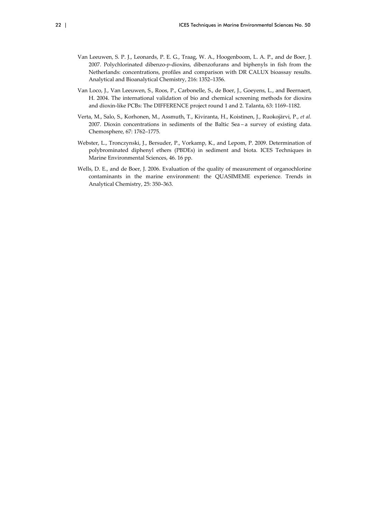- Van Leeuwen, S. P. J., Leonards, P. E. G., Traag, W. A., Hoogenboom, L. A. P., and de Boer, J. 2007. Polychlorinated dibenzo‐*p*‐dioxins, dibenzofurans and biphenyls in fish from the Netherlands: concentrations, profiles and comparison with DR CALUX bioassay results. Analytical and Bioanalytical Chemistry, 216: 1352–1356.
- Van Loco, J., Van Leeuwen, S., Roos, P., Carbonelle, S., de Boer, J., Goeyens, L., and Beernaert, H. 2004. The international validation of bio and chemical screening methods for dioxins and dioxin‐like PCBs: The DIFFERENCE project round 1 and 2. Talanta, 63: 1169–1182.
- Verta, M., Salo, S., Korhonen, M., Assmuth, T., Kiviranta, H., Koistinen, J., Ruokojärvi, P., *et al.* 2007. Dioxin concentrations in sediments of the Baltic Sea – a survey of existing data. Chemosphere, 67: 1762–1775.
- Webster, L., Tronczynski, J., Bersuder, P., Vorkamp, K., and Lepom, P. 2009. Determination of polybrominated diphenyl ethers (PBDEs) in sediment and biota. ICES Techniques in Marine Environmental Sciences, 46. 16 pp.
- Wells, D. E., and de Boer, J. 2006. Evaluation of the quality of measurement of organochlorine contaminants in the marine environment: the QUASIMEME experience. Trends in Analytical Chemistry, 25: 350–363.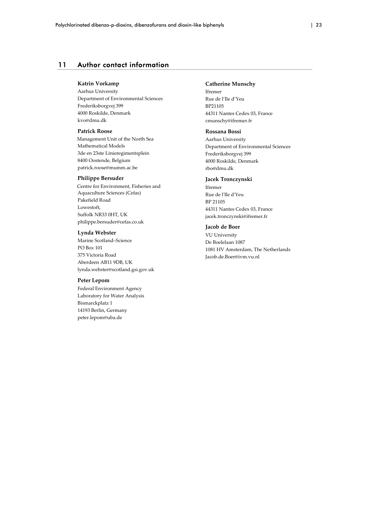## 11 Author contact information

#### **Katrin Vorkamp**

Aarhus University Department of Environmental Sciences Frederiksborgvej 399 4000 Roskilde, Denmark kvo@dmu.dk

#### **Patrick Roose**

Management Unit of the North Sea Mathematical Models 3de en 23ste Linieregimentsplein 8400 Oostende, Belgium patrick.roose@mumm.ac.be

#### **Philippe Bersuder**

Centre for Environment, Fisheries and Aquaculture Sciences (Cefas) Pakefield Road Lowestoft, Suffolk NR33 0HT, UK philippe.bersuder@cefas.co.uk

#### **Lynda Webster**

Marine Scotland–Science PO Box 101 375 Victoria Road Aberdeen AB11 9DB, UK lynda.webster@scotland.gsi.gov.uk

#### **Peter Lepom**

Federal Environment Agency Laboratory for Water Analysis Bismarckplatz 1 14193 Berlin, Germany peter.lepom@uba.de

#### **Catherine Munschy**

Ifremer Rue de l'Ile d'Yeu BP21105 44311 Nantes Cedex 03, France cmunschy@ifremer.fr

#### **Rossana Bossi**

Aarhus University Department of Environmental Sciences Frederiksborgvej 399 4000 Roskilde, Denmark rbo@dmu.dk

#### **Jacek Tronczynski**

Ifremer Rue de lʹIle dʹYeu BP 21105 44311 Nantes Cedex 03, France jacek.tronczynski@ifremer.fr

#### **Jacob de Boer**

VU University De Boelelaan 1087 1081 HV Amsterdam, The Netherlands Jacob.de.Boer@ivm.vu.nl